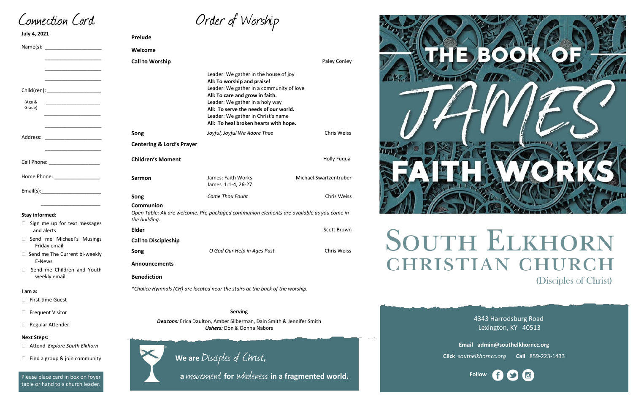| Order of Worship |  |
|------------------|--|
|------------------|--|

4343 Harrodsburg Road Lexington, KY 40513



**Email admin@southelkhorncc.org**

**Click** *southelkhorncc.org* **Call** 859-223-1433

Connection Card

| <b>July 4, 2021</b>                                   | <b>Prelude</b>                                                                                            |                                                                                                                                                                                                                                                                                                                |                        |  |
|-------------------------------------------------------|-----------------------------------------------------------------------------------------------------------|----------------------------------------------------------------------------------------------------------------------------------------------------------------------------------------------------------------------------------------------------------------------------------------------------------------|------------------------|--|
|                                                       | Welcome                                                                                                   |                                                                                                                                                                                                                                                                                                                |                        |  |
|                                                       | <b>Call to Worship</b>                                                                                    |                                                                                                                                                                                                                                                                                                                | Paley Conley           |  |
| Child(ren): _____________________<br>(Age &<br>Grade) |                                                                                                           | Leader: We gather in the house of joy<br>All: To worship and praise!<br>Leader: We gather in a community of love<br>All: To care and grow in faith.<br>Leader: We gather in a holy way<br>All: To serve the needs of our world.<br>Leader: We gather in Christ's name<br>All: To heal broken hearts with hope. |                        |  |
|                                                       | Song                                                                                                      | Joyful, Joyful We Adore Thee                                                                                                                                                                                                                                                                                   | <b>Chris Weiss</b>     |  |
|                                                       | <b>Centering &amp; Lord's Prayer</b>                                                                      |                                                                                                                                                                                                                                                                                                                |                        |  |
| Cell Phone: ___________________                       | <b>Children's Moment</b>                                                                                  |                                                                                                                                                                                                                                                                                                                | <b>Holly Fugua</b>     |  |
| Home Phone: ___________________                       | <b>Sermon</b>                                                                                             | James: Faith Works<br>James 1:1-4, 26-27                                                                                                                                                                                                                                                                       | Michael Swartzentruber |  |
|                                                       | Song                                                                                                      | Come Thou Fount                                                                                                                                                                                                                                                                                                | <b>Chris Weiss</b>     |  |
| <b>Stay informed:</b>                                 | <b>Communion</b><br>the building.                                                                         | Open Table: All are welcome. Pre-packaged communion elements are available as you come in                                                                                                                                                                                                                      |                        |  |
| Sign me up for text messages<br>and alerts            | <b>Elder</b>                                                                                              |                                                                                                                                                                                                                                                                                                                | Scott Brown            |  |
| Send me Michael's Musings                             | <b>Call to Discipleship</b>                                                                               |                                                                                                                                                                                                                                                                                                                |                        |  |
| Friday email<br>□ Send me The Current bi-weekly       | Song                                                                                                      | O God Our Help in Ages Past                                                                                                                                                                                                                                                                                    | <b>Chris Weiss</b>     |  |
| E-News                                                | <b>Announcements</b>                                                                                      |                                                                                                                                                                                                                                                                                                                |                        |  |
| Send me Children and Youth<br>weekly email            | <b>Benediction</b>                                                                                        |                                                                                                                                                                                                                                                                                                                |                        |  |
| I am a:                                               | *Chalice Hymnals (CH) are located near the stairs at the back of the worship.                             |                                                                                                                                                                                                                                                                                                                |                        |  |
| <b>First-time Guest</b>                               |                                                                                                           |                                                                                                                                                                                                                                                                                                                |                        |  |
| <b>Frequent Visitor</b>                               |                                                                                                           | <b>Serving</b>                                                                                                                                                                                                                                                                                                 |                        |  |
| <b>Regular Attender</b>                               | Deacons: Erica Daulton, Amber Silberman, Dain Smith & Jennifer Smith<br><b>Ushers:</b> Don & Donna Nabors |                                                                                                                                                                                                                                                                                                                |                        |  |
| <b>Next Steps:</b>                                    |                                                                                                           |                                                                                                                                                                                                                                                                                                                |                        |  |
| Attend Explore South Elkhorn                          |                                                                                                           |                                                                                                                                                                                                                                                                                                                |                        |  |
| Find a group & join community                         |                                                                                                           | We are Disciples of Christ,                                                                                                                                                                                                                                                                                    |                        |  |





HRISTIAN



**We are** Disciples of Christ**,** 

 **<sup>a</sup>**movement **for** wholeness **in a fragmented world.**

# **SOUTH ELKHORN** (Disciples of Christ)